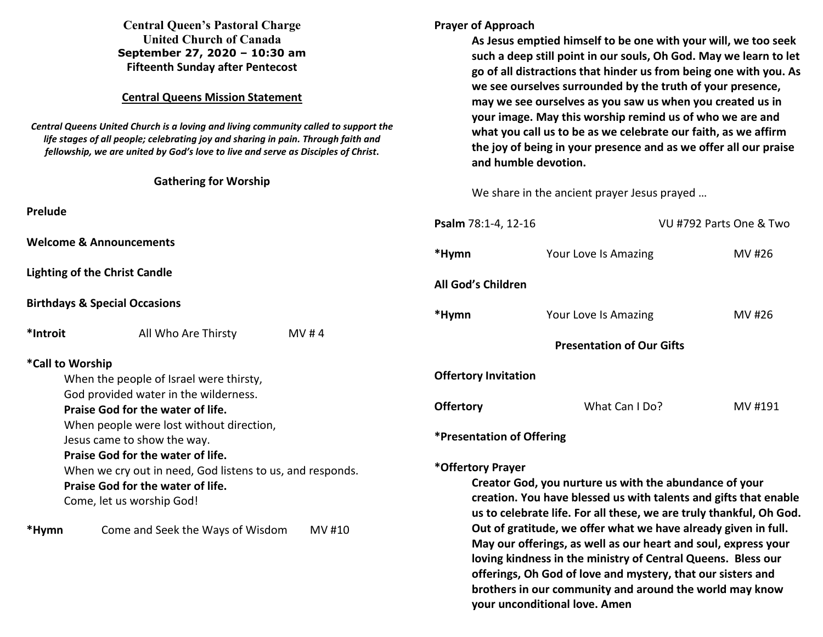| <b>Central Queen's Pastoral Charge</b><br><b>United Church of Canada</b><br>September 27, 2020 - 10:30 am<br><b>Fifteenth Sunday after Pentecost</b><br><b>Central Queens Mission Statement</b> |                                                                            | <b>Prayer of Approach</b><br>As Jesus emptied himself to be one with your will, we too seek<br>such a deep still point in our souls, Oh God. May we learn to let<br>go of all distractions that hinder us from being one with you. As<br>we see ourselves surrounded by the truth of your presence,<br>may we see ourselves as you saw us when you created us in |                                  |         |
|-------------------------------------------------------------------------------------------------------------------------------------------------------------------------------------------------|----------------------------------------------------------------------------|------------------------------------------------------------------------------------------------------------------------------------------------------------------------------------------------------------------------------------------------------------------------------------------------------------------------------------------------------------------|----------------------------------|---------|
|                                                                                                                                                                                                 |                                                                            |                                                                                                                                                                                                                                                                                                                                                                  |                                  |         |
| <b>Gathering for Worship</b>                                                                                                                                                                    |                                                                            | We share in the ancient prayer Jesus prayed                                                                                                                                                                                                                                                                                                                      |                                  |         |
| Prelude                                                                                                                                                                                         |                                                                            | Psalm 78:1-4, 12-16<br>VU #792 Parts One & Two                                                                                                                                                                                                                                                                                                                   |                                  |         |
| <b>Welcome &amp; Announcements</b>                                                                                                                                                              |                                                                            | *Hymn                                                                                                                                                                                                                                                                                                                                                            | Your Love Is Amazing             | MV #26  |
| <b>Lighting of the Christ Candle</b>                                                                                                                                                            |                                                                            | All God's Children                                                                                                                                                                                                                                                                                                                                               |                                  |         |
| <b>Birthdays &amp; Special Occasions</b>                                                                                                                                                        |                                                                            | *Hymn                                                                                                                                                                                                                                                                                                                                                            | Your Love Is Amazing             | MV #26  |
| *Introit                                                                                                                                                                                        | All Who Are Thirsty<br>MV#4                                                |                                                                                                                                                                                                                                                                                                                                                                  | <b>Presentation of Our Gifts</b> |         |
| *Call to Worship<br>When the people of Israel were thirsty,                                                                                                                                     |                                                                            | <b>Offertory Invitation</b>                                                                                                                                                                                                                                                                                                                                      |                                  |         |
|                                                                                                                                                                                                 | God provided water in the wilderness.<br>Praise God for the water of life. | <b>Offertory</b>                                                                                                                                                                                                                                                                                                                                                 | What Can I Do?                   | MV #191 |
| When people were lost without direction,<br>Jesus came to show the way.<br>Praise God for the water of life.                                                                                    |                                                                            | *Presentation of Offering                                                                                                                                                                                                                                                                                                                                        |                                  |         |
| When we cry out in need, God listens to us, and responds.<br>Praise God for the water of life.<br>Come, let us worship God!                                                                     |                                                                            | *Offertory Prayer<br>Creator God, you nurture us with the abundance of your<br>creation. You have blessed us with talents and gifts that enable<br>us to celebrate life. For all these, we are truly thankful, Oh God.                                                                                                                                           |                                  |         |
| *Hymn                                                                                                                                                                                           | Come and Seek the Ways of Wisdom<br>MV #10                                 | Out of gratitude, we offer what we have already given in full.<br>May our offerings, as well as our heart and soul, express your<br>loving kindness in the ministry of Central Queens. Bless our<br>offerings, Oh God of love and mystery, that our sisters and<br>brothers in our community and around the world may know<br>your unconditional love. Amen      |                                  |         |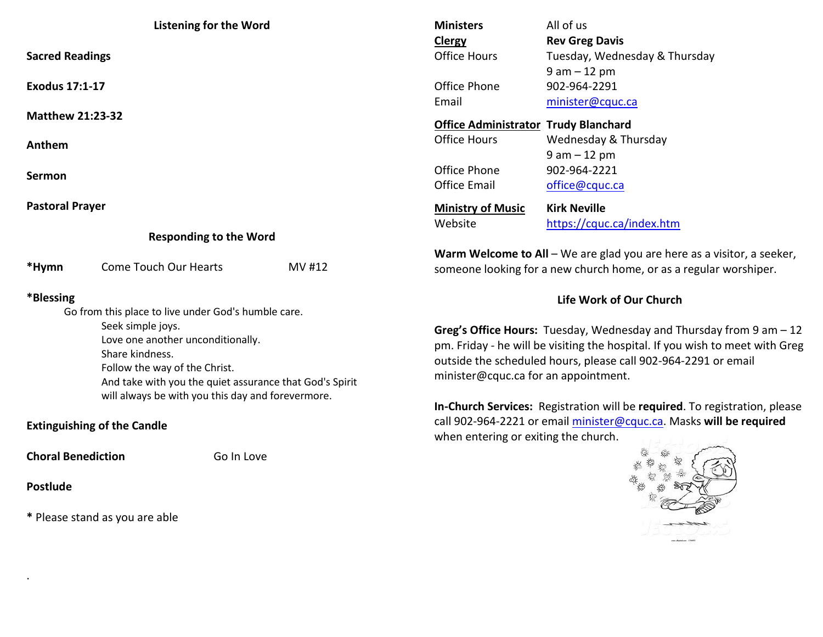| <b>Listening for the Word</b>                                                                                                                                                                                                                                                                                           |                       |        | <b>Ministers</b>                                                                                                                                                                                                                                                 | All of us                                                                |  |
|-------------------------------------------------------------------------------------------------------------------------------------------------------------------------------------------------------------------------------------------------------------------------------------------------------------------------|-----------------------|--------|------------------------------------------------------------------------------------------------------------------------------------------------------------------------------------------------------------------------------------------------------------------|--------------------------------------------------------------------------|--|
| <b>Sacred Readings</b>                                                                                                                                                                                                                                                                                                  |                       |        | Clergy<br><b>Office Hours</b>                                                                                                                                                                                                                                    | <b>Rev Greg Davis</b><br>Tuesday, Wednesday & Thursday<br>$9 am - 12 pm$ |  |
| <b>Exodus 17:1-17</b>                                                                                                                                                                                                                                                                                                   |                       |        | Office Phone<br>Email                                                                                                                                                                                                                                            | 902-964-2291<br>minister@cquc.ca                                         |  |
| <b>Matthew 21:23-32</b>                                                                                                                                                                                                                                                                                                 |                       |        | <b>Office Administrator Trudy Blanchard</b>                                                                                                                                                                                                                      |                                                                          |  |
| Anthem                                                                                                                                                                                                                                                                                                                  |                       |        | <b>Office Hours</b>                                                                                                                                                                                                                                              | Wednesday & Thursday<br>$9 am - 12 pm$                                   |  |
| <b>Sermon</b>                                                                                                                                                                                                                                                                                                           |                       |        | Office Phone<br><b>Office Email</b>                                                                                                                                                                                                                              | 902-964-2221<br>office@cquc.ca                                           |  |
| <b>Pastoral Prayer</b>                                                                                                                                                                                                                                                                                                  |                       |        | <b>Ministry of Music</b>                                                                                                                                                                                                                                         | <b>Kirk Neville</b>                                                      |  |
| <b>Responding to the Word</b>                                                                                                                                                                                                                                                                                           |                       |        | Website                                                                                                                                                                                                                                                          | https://cquc.ca/index.htm                                                |  |
| *Hymn                                                                                                                                                                                                                                                                                                                   | Come Touch Our Hearts | MV #12 | Warm Welcome to All - We are glad you are here as a visitor, a seeker,<br>someone looking for a new church home, or as a regular worshiper.                                                                                                                      |                                                                          |  |
| *Blessing                                                                                                                                                                                                                                                                                                               |                       |        | Life Work of Our Church                                                                                                                                                                                                                                          |                                                                          |  |
| Go from this place to live under God's humble care.<br>Seek simple joys.<br>Love one another unconditionally.<br>Share kindness.<br>Follow the way of the Christ.<br>And take with you the quiet assurance that God's Spirit<br>will always be with you this day and forevermore.<br><b>Extinguishing of the Candle</b> |                       |        | Greg's Office Hours: Tuesday, Wednesday and Thursday from $9$ am $-12$<br>pm. Friday - he will be visiting the hospital. If you wish to meet with Greg<br>outside the scheduled hours, please call 902-964-2291 or email<br>minister@cquc.ca for an appointment. |                                                                          |  |
|                                                                                                                                                                                                                                                                                                                         |                       |        | In-Church Services: Registration will be required. To registration, please<br>call 902-964-2221 or email minister@cquc.ca. Masks will be required<br>when entering or exiting the church.                                                                        |                                                                          |  |
| <b>Choral Benediction</b><br><b>Postlude</b>                                                                                                                                                                                                                                                                            | Go In Love            |        |                                                                                                                                                                                                                                                                  |                                                                          |  |

 $$ avening the control

**\*** Please stand as you are able

.